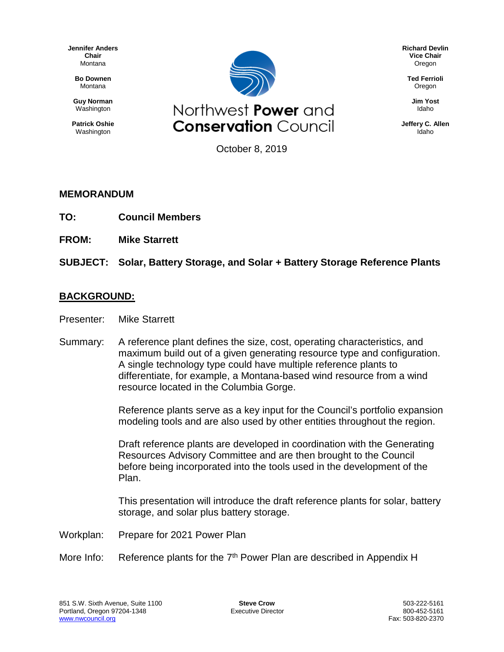**Jennifer Anders Chair** Montana

> **Bo Downen** Montana

**Guy Norman** Washington

**Patrick Oshie** Washington



**Richard Devlin Vice Chair** Oregon

> **Ted Ferrioli** Oregon

> > **Jim Yost** Idaho

**Jeffery C. Allen** Idaho

October 8, 2019

## **MEMORANDUM**

- **TO: Council Members**
- **FROM: Mike Starrett**

**SUBJECT: Solar, Battery Storage, and Solar + Battery Storage Reference Plants**

## **BACKGROUND:**

- Presenter: Mike Starrett
- Summary: A reference plant defines the size, cost, operating characteristics, and maximum build out of a given generating resource type and configuration. A single technology type could have multiple reference plants to differentiate, for example, a Montana-based wind resource from a wind resource located in the Columbia Gorge.

Reference plants serve as a key input for the Council's portfolio expansion modeling tools and are also used by other entities throughout the region.

Draft reference plants are developed in coordination with the Generating Resources Advisory Committee and are then brought to the Council before being incorporated into the tools used in the development of the Plan.

This presentation will introduce the draft reference plants for solar, battery storage, and solar plus battery storage.

- Workplan: Prepare for 2021 Power Plan
- More Info: Reference plants for the  $7<sup>th</sup>$  Power Plan are described in Appendix H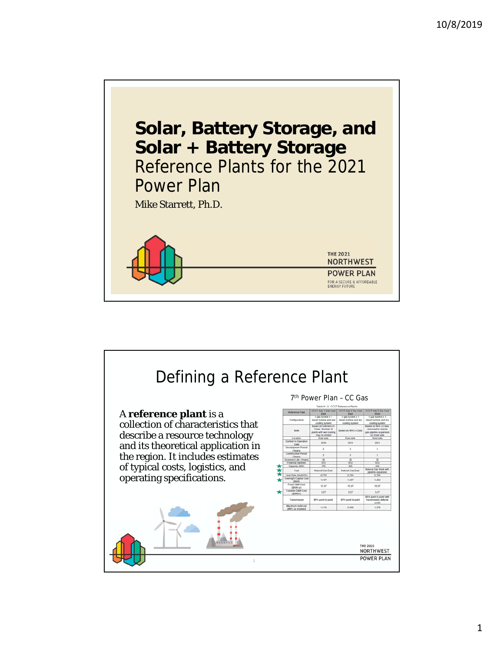

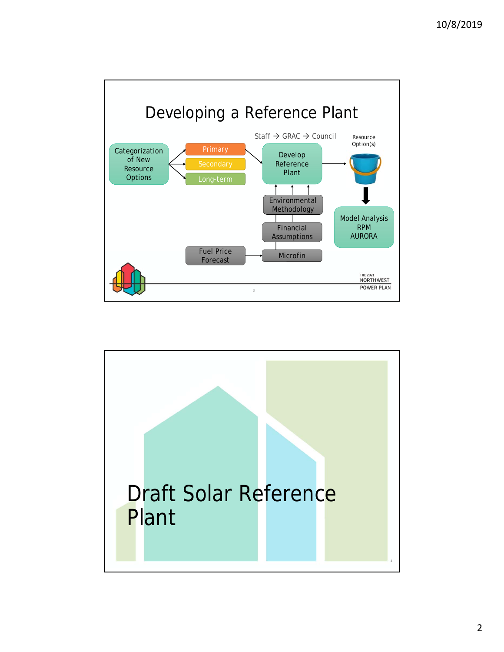

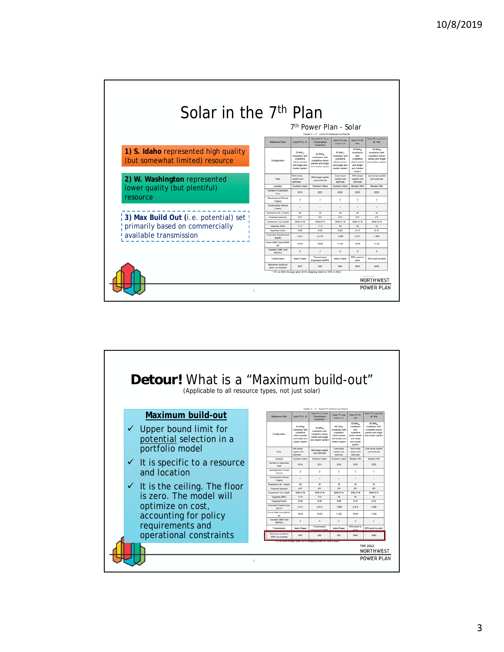| Solar in the 7 <sup>th</sup> Plan                                       |                                       |                                                                                                                      | 7 <sup>th</sup> Power Plan - Solar                                                                        |                                                                                                |                                                                                                                    |                                                                                                            |
|-------------------------------------------------------------------------|---------------------------------------|----------------------------------------------------------------------------------------------------------------------|-----------------------------------------------------------------------------------------------------------|------------------------------------------------------------------------------------------------|--------------------------------------------------------------------------------------------------------------------|------------------------------------------------------------------------------------------------------------|
|                                                                         | <b>Reference Plant</b>                | Solar PV S. ID                                                                                                       | Toble H - 11: Solar PV Reference Plants<br>Solar PV S. ID w/<br>Transmission<br>Expansion                 | Solar PV Low<br>Cost S. ID                                                                     | Salar PV W<br>WA.                                                                                                  | Solar PV Low Cost<br>W. WA                                                                                 |
| 1) S. Idaho represented high quality<br>(but somewhat limited) resource | Configuration                         | 20 MW <sub>M</sub><br><b>Installation with</b><br>crystaline<br>silicon panels<br>and single axis<br>tracker system. | 20 MW <sub>x</sub><br>installation with<br>crystaline silicon<br>panels and single<br>axis tracker system | 50 MW<br>nstalation with<br>crystaline<br>silicon panels<br>and single axis<br>tracker system. | fo MW <sub>w</sub><br>installation<br>with<br>crystaline<br>silicon panels<br>and single<br>axis tracker<br>system | 50 MW <sub>w</sub><br>installation with<br>crystalline silicon<br>panels and single<br>axis tracker system |
| 2) W. Washington represented                                            | Minite                                | <b>Mid.canne</b><br>capital cost                                                                                     | Mid-range capital<br>cost estimate                                                                        | Low range<br>capital cost                                                                      | Mid-range<br>capital cost                                                                                          | Fine ranne nanital<br>cost estimate                                                                        |
|                                                                         | Location                              | estimate<br>Southern Idaho                                                                                           | Southern Idaho                                                                                            | estimate<br>Southern Idaho                                                                     | estimate<br>Western WA                                                                                             | Western WA                                                                                                 |
| lower quality (but plentiful)                                           | Earliest In-Operation<br>Date         | 2018                                                                                                                 | 2021                                                                                                      | 2020                                                                                           | 2020                                                                                                               | 2020                                                                                                       |
| resource                                                                | <b>Development Period</b><br>(Years)  | $\overline{2}$                                                                                                       | $\overline{a}$                                                                                            | $\ddot{\phantom{a}}$                                                                           | $\overline{2}$                                                                                                     | $\rightarrow$                                                                                              |
|                                                                         | <b>Construction Period</b><br>(Years) | T.                                                                                                                   | $\mathbf{1}$                                                                                              | $\mathbf{I}$                                                                                   | ×.                                                                                                                 | $\mathbf{1}$                                                                                               |
|                                                                         | Economic Life (Years)                 | 35                                                                                                                   | 35                                                                                                        | 30 <sup>o</sup>                                                                                | 30                                                                                                                 | 30                                                                                                         |
| 3) Max Build Out <i>(i.e.</i> potential) set                            | <b>Financial Sponsor</b>              | <b>IPP</b>                                                                                                           | iPP.                                                                                                      | pp                                                                                             | pp                                                                                                                 | IPP                                                                                                        |
|                                                                         | <b>Investment Tax Credit</b>          | 30%/10%                                                                                                              | 30%/10%                                                                                                   | 30%/10%                                                                                        | 30%/10%                                                                                                            | 3046/10 %                                                                                                  |
| primarily based on commercially                                         | Capacity (MW)                         | 17.4                                                                                                                 | 17.4                                                                                                      | 48                                                                                             | 48                                                                                                                 | 48                                                                                                         |
|                                                                         | <b>Capacity Factor</b>                | 0.20                                                                                                                 | 0.20                                                                                                      | 0.26                                                                                           | 0.19                                                                                                               | 0.19                                                                                                       |
| available transmission                                                  | Overnight Capital Cost<br>(\$AW)      | 2.413                                                                                                                | 2.413                                                                                                     | 1.685                                                                                          | 2.413                                                                                                              | 1,685                                                                                                      |
| -----                                                                   | Fixed OAM Cast (\$5W)<br>YF)          | 16.63                                                                                                                | 16.63                                                                                                     | 11.62                                                                                          | 16.63                                                                                                              | 11.62                                                                                                      |
|                                                                         | Variable O&M Cost<br>(SANVA)          | $\circ$                                                                                                              | $\circ$                                                                                                   | $\circ$                                                                                        | $\circ$                                                                                                            | $\circ$                                                                                                    |
|                                                                         | Transmission                          | <b>Idaho Power</b>                                                                                                   | Transmission<br>Expansion & BPA                                                                           | Idaho Power                                                                                    | <b>BPA point to</b><br>point                                                                                       | BPA point to point                                                                                         |
|                                                                         | Maximum build-out<br>(MW) as modeled  | 642                                                                                                                  | 989                                                                                                       | 642                                                                                            | 3840                                                                                                               | 3840                                                                                                       |
|                                                                         |                                       |                                                                                                                      | * ITC at 30% through year 2019, stepping down to 10% in 2022                                              |                                                                                                |                                                                                                                    | <b>NORTHWEST</b>                                                                                           |

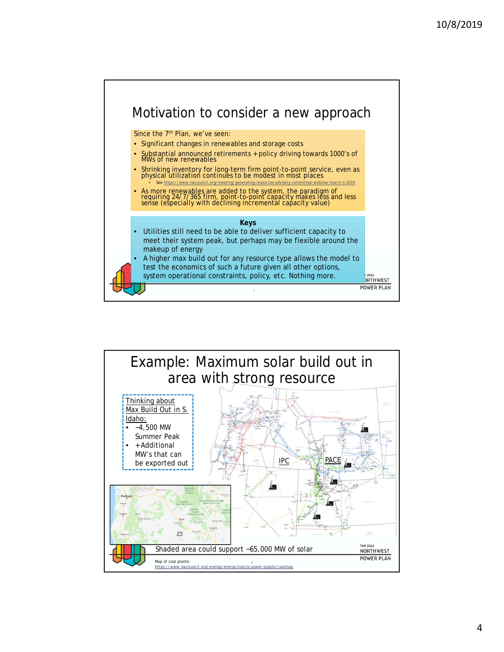

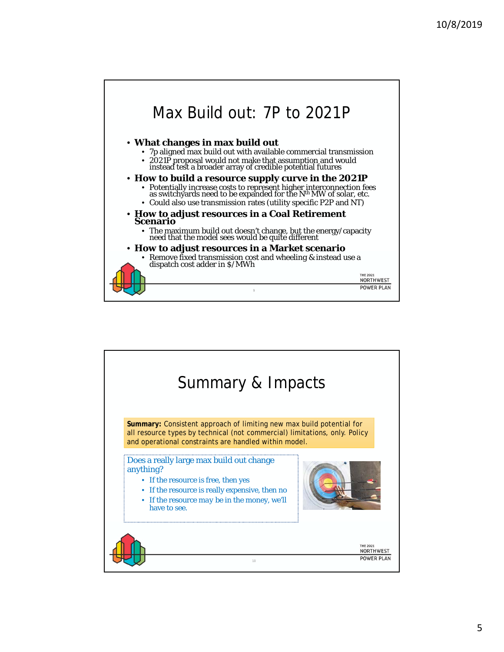

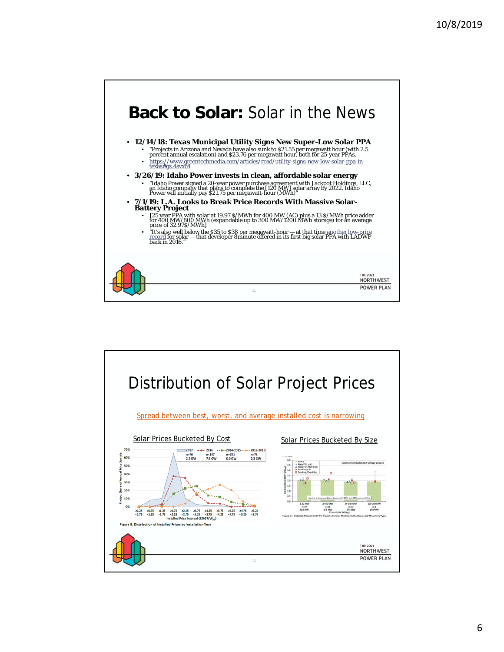

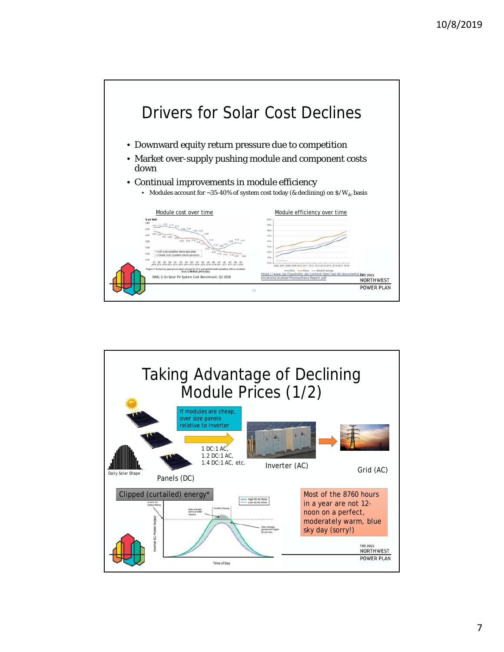

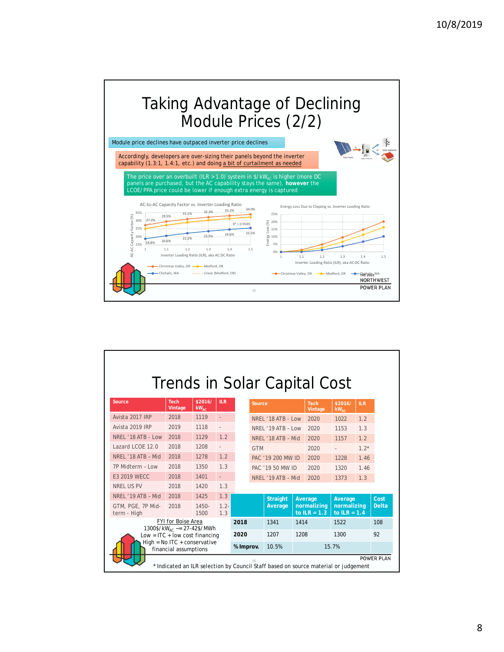



| Trends in Solar Capital Cost                                                                                 |                                                                            |                      |                          |           |            |                    |      |                               |                               |            |              |
|--------------------------------------------------------------------------------------------------------------|----------------------------------------------------------------------------|----------------------|--------------------------|-----------|------------|--------------------|------|-------------------------------|-------------------------------|------------|--------------|
| Source                                                                                                       | <b>Tech</b><br>Vintage                                                     | \$2016/<br>$kW_{AC}$ | <b>ILR</b>               |           | Source     |                    |      | <b>Tech</b><br>Vintage        | \$2016/<br>$KW_{AC}$          | <b>ILR</b> |              |
| Avista 2017 IRP                                                                                              | 2018                                                                       | 1119                 | $\overline{\phantom{a}}$ |           |            | NREL '18 ATB - Low |      | 2020                          | 1022                          | 1.2        |              |
| Avista 2019 IRP                                                                                              | 2019                                                                       | 1118                 |                          |           |            | NREL '19 ATB - Low |      | 2020                          | 1153                          | 1.3        |              |
| NREL '18 ATB - Low                                                                                           | 2018                                                                       | 1129                 | 1.2                      |           |            | NREL '18 ATB - Mid |      | 2020                          | 1157                          | 1.2        |              |
| Lazard LCOE 12.0                                                                                             | 2018                                                                       | 1208                 | $\overline{a}$           |           | <b>GTM</b> |                    |      | 2020                          |                               | $1.2*$     |              |
| NREL '18 ATB - Mid                                                                                           | 2018                                                                       | 1278                 | 1.2                      |           |            | PAC '19 200 MW ID  |      | 2020                          | 1228                          | 1.46       |              |
| 7P Midterm - Low                                                                                             | 2018                                                                       | 1350                 | 1.3                      |           |            | PAC '19 50 MW ID   |      | 2020                          | 1320                          | 1.46       |              |
| <b>F3 2019 WFCC</b>                                                                                          | 2018                                                                       | 1401                 | $\mathbb{Z}^+$           |           |            | NREL '19 ATB - Mid |      | 2020                          | 1373                          | 1.3        |              |
| <b>NREL US PV</b>                                                                                            | 2018                                                                       | 1420                 | 1.3                      |           |            |                    |      |                               |                               |            |              |
| NREL '19 ATB - Mid                                                                                           | 2018                                                                       | 1425                 | 1.3                      |           |            | <b>Straight</b>    |      | Average                       | Average                       |            | Cost         |
| GTM, PGE, 7P Mid-<br>term - High                                                                             | 2018                                                                       | $1450 -$<br>1500     | $1.2 -$<br>1.3           |           |            | Average            |      | normalizing<br>to $ILR = 1.3$ | normalizing<br>to $ILR = 1.4$ |            | <b>Delta</b> |
|                                                                                                              | <b>FYI for Boise Area</b>                                                  |                      |                          | 2018      |            | 1341               | 1414 |                               | 1522                          |            | 108          |
|                                                                                                              | 1300\$/kW <sub>AC</sub> ~= 27-42\$/MWh<br>$Low = ITC + low cost financing$ |                      |                          | 2020      |            | 1207               | 1208 |                               | 1300                          |            | 92           |
|                                                                                                              | High = $No$ ITC + conservative<br>financial assumptions                    |                      |                          | % Improv. |            | 10.5%              |      |                               | 15.7%                         |            |              |
| <b>POWER PLAN</b><br>16<br>Indicated an ILR selection by Council Staff based on source material or judgement |                                                                            |                      |                          |           |            |                    |      |                               |                               |            |              |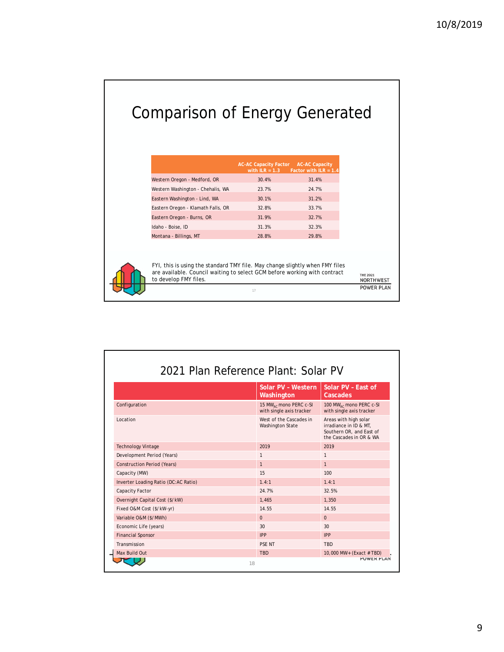## Comparison of Energy Generated

|                                    | <b>AC-AC Capacity Factor</b><br>with $ILR = 1.3$ | <b>AC-AC Capacity</b><br>Factor with $ILR = 1.4$ |
|------------------------------------|--------------------------------------------------|--------------------------------------------------|
| Western Oregon - Medford, OR       | 30.4%                                            | 31.4%                                            |
| Western Washington - Chehalis, WA  | 23.7%                                            | 24.7%                                            |
| Eastern Washington - Lind, WA      | 30.1%                                            | 31.2%                                            |
| Eastern Oregon - Klamath Falls, OR | 32.8%                                            | 33.7%                                            |
| Eastern Oregon - Burns, OR         | 31.9%                                            | 32.7%                                            |
| Idaho - Boise, ID                  | 31.3%                                            | 32.3%                                            |
| Montana - Billings, MT             | 28.8%                                            | 29.8%                                            |



| FYI, this is using the standard TMY file. May change slightly when FMY files<br>are available. Council waiting to select GCM before working with contract<br>to develop FMY files. | <b>THE 2021</b><br><b>NORTHWEST</b> |
|------------------------------------------------------------------------------------------------------------------------------------------------------------------------------------|-------------------------------------|
|                                                                                                                                                                                    | <b>POWER PLAN</b>                   |

|                                      | Solar PV - Western<br>Washington                               | Solar PV - Fast of<br>Cascades                                                                         |
|--------------------------------------|----------------------------------------------------------------|--------------------------------------------------------------------------------------------------------|
| Configuration                        | 15 MW <sub>AC</sub> mono PERC c-SI<br>with single axis tracker | 100 MW <sub>AC</sub> mono PERC c-SI<br>with single axis tracker                                        |
| Location                             | West of the Cascades in<br><b>Washington State</b>             | Areas with high solar<br>irradiance in ID & MT.<br>Southern OR, and East of<br>the Cascades in OR & WA |
| <b>Technology Vintage</b>            | 2019                                                           | 2019                                                                                                   |
| Development Period (Years)           | $\mathbf{1}$                                                   | $\mathbf{1}$                                                                                           |
| <b>Construction Period (Years)</b>   | $\mathbf{1}$                                                   | $\mathbf{1}$                                                                                           |
| Capacity (MW)                        | 15                                                             | 100                                                                                                    |
| Inverter Loading Ratio (DC:AC Ratio) | 1.4:1                                                          | 1.4:1                                                                                                  |
| Capacity Factor                      | 24.7%                                                          | 32.5%                                                                                                  |
| Overnight Capital Cost (\$/kW)       | 1.465                                                          | 1.350                                                                                                  |
| Fixed O&M Cost (\$/kW-yr)            | 14.55                                                          | 14.55                                                                                                  |
| Variable O&M (\$/MWh)                | $\Omega$                                                       | $\Omega$                                                                                               |
| Economic Life (years)                | 30                                                             | 30                                                                                                     |
| <b>Financial Sponsor</b>             | <b>IPP</b>                                                     | IPP                                                                                                    |
| Transmission                         | <b>PSF NT</b>                                                  | <b>TBD</b>                                                                                             |
| Max Build Out                        | <b>TBD</b>                                                     | 10,000 MW+ (Exact # TBD)                                                                               |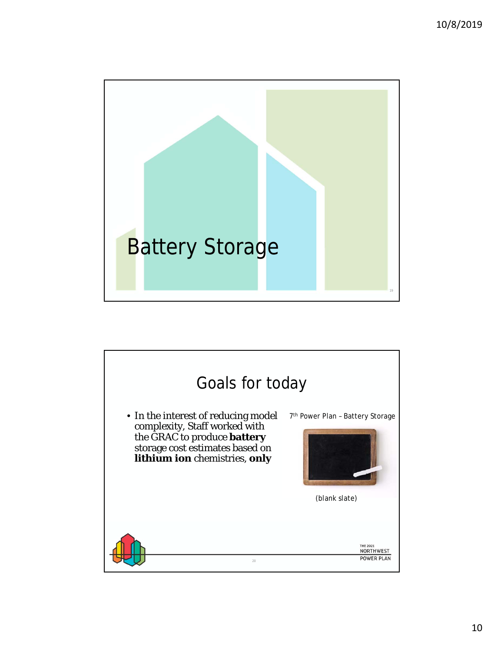

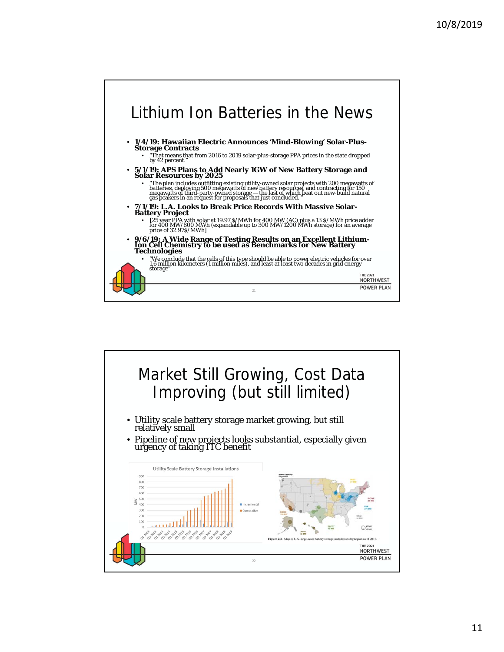

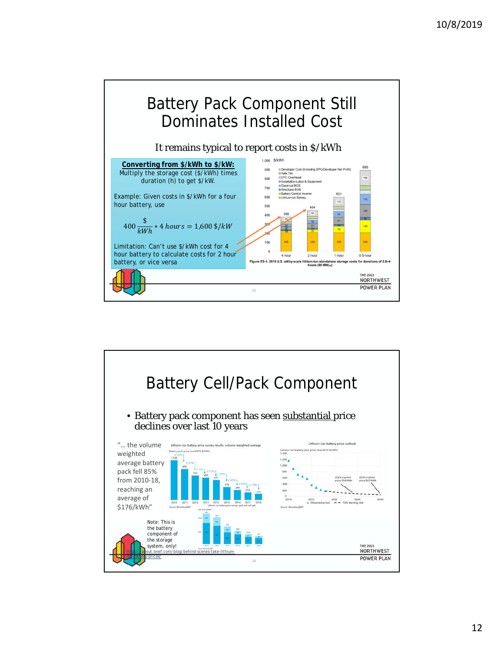

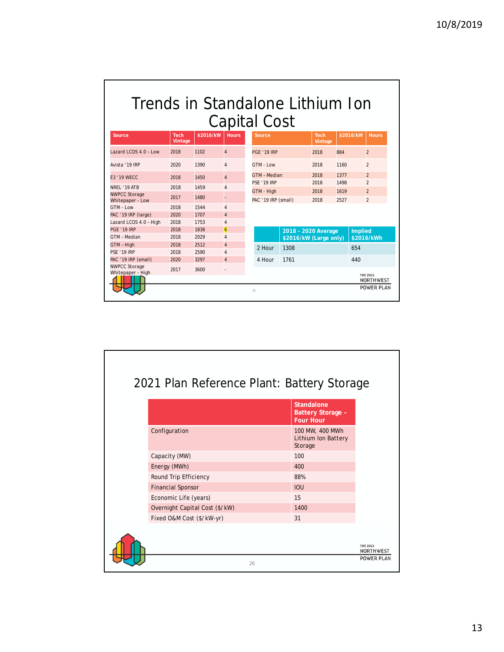| Trends in Standalone Lithium Ion |
|----------------------------------|
| Capital Cost                     |

| Source                                    | <b>Tech</b><br>Vintage | \$2016/kW | <b>Hours</b>             | Source                                    |                        | <b>Tech</b><br>Vintage | \$2016/kW    | <b>Hours</b>                     |
|-------------------------------------------|------------------------|-----------|--------------------------|-------------------------------------------|------------------------|------------------------|--------------|----------------------------------|
| Lazard LCOS $4.0 - Low$                   | 2018                   | 1102      | $\overline{4}$           | <b>PGF '19 IRP</b>                        |                        | 2018                   | 884          | $\overline{2}$                   |
| Avista '19 IRP                            | 2020                   | 1390      | $\overline{4}$           | GTM - Low                                 |                        | 2018                   | 1160         | $\overline{2}$                   |
| <b>F3 '19 WFCC</b>                        | 2018                   | 1450      | $\overline{4}$           | <b>GTM - Median</b><br><b>PSE '19 IRP</b> |                        | 2018<br>2018           | 1377<br>1498 | $\overline{2}$<br>$\overline{2}$ |
| NRFL '19 ATB                              | 2018                   | 1459      | 4                        |                                           |                        |                        |              |                                  |
| <b>NWPCC Storage</b><br>Whitepaper - Low  | 2017                   | 1480      |                          | GTM - High<br>PAC '19 IRP (small)         |                        | 2018<br>2018           | 1619<br>2527 | $\overline{2}$<br>$\overline{2}$ |
| GTM - Low                                 | 2018                   | 1544      | $\overline{4}$           |                                           |                        |                        |              |                                  |
| PAC '19 IRP (large)                       | 2020                   | 1707      | $\overline{4}$           |                                           |                        |                        |              |                                  |
| Lazard LCOS 4.0 - High                    | 2018                   | 1753      | 4                        |                                           |                        |                        |              |                                  |
| PGE '19 IRP                               | 2018                   | 1838      | $\overline{6}$           |                                           | 2018 - 2020 Average    |                        |              | <b>Implied</b>                   |
| GTM - Median                              | 2018                   | 2029      | $\overline{4}$           |                                           | \$2016/kW (Large only) |                        |              | \$2016/kWh                       |
| GTM - High                                | 2018                   | 2512      | $\overline{4}$           | 2 Hour                                    | 1308                   |                        | 654          |                                  |
| <b>PSE '19 IRP</b>                        | 2018                   | 2590      | $\overline{4}$           |                                           |                        |                        |              |                                  |
| PAC '19 IRP (small)                       | 2020                   | 3297      | $\overline{4}$           | 4 Hour                                    | 1761                   |                        | 440          |                                  |
| <b>NWPCC Storage</b><br>Whitepaper - High | 2017                   | 3600      | $\overline{\phantom{a}}$ |                                           |                        |                        |              | <b>THE 2021</b>                  |
|                                           |                        |           |                          |                                           |                        |                        |              | <b>NORTHWEST</b>                 |
|                                           |                        |           |                          | 25                                        |                        |                        |              | <b>POWER PLAN</b>                |

|                                | <b>Standalone</b><br><b>Battery Storage -</b><br><b>Four Hour</b> |                              |
|--------------------------------|-------------------------------------------------------------------|------------------------------|
| Configuration                  | 100 MW, 400 MWh<br>Lithium Ion Battery<br>Storage                 |                              |
| Capacity (MW)                  | 100                                                               |                              |
| Energy (MWh)                   | 400                                                               |                              |
| Round Trip Efficiency          | 88%                                                               |                              |
| <b>Financial Sponsor</b>       | <b>IOU</b>                                                        |                              |
| Economic Life (years)          | 15                                                                |                              |
| Overnight Capital Cost (\$/kW) | 1400                                                              |                              |
| Fixed O&M Cost (\$/kW-yr)      | 31                                                                |                              |
|                                |                                                                   | <b>THE 2021</b><br>NORTHWEST |
| 26                             |                                                                   | <b>POWER PLAN</b>            |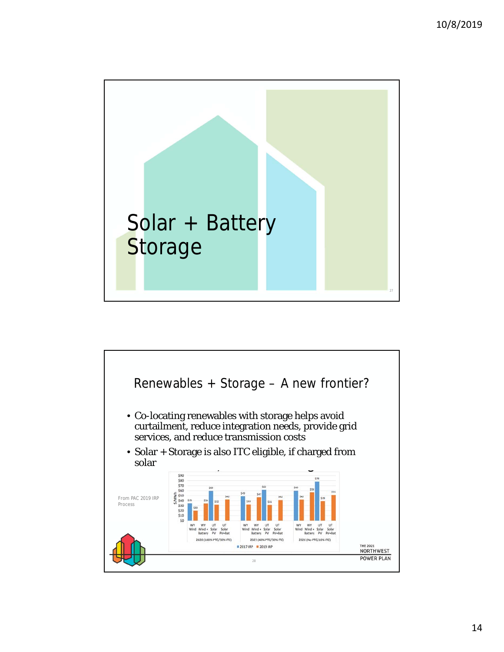

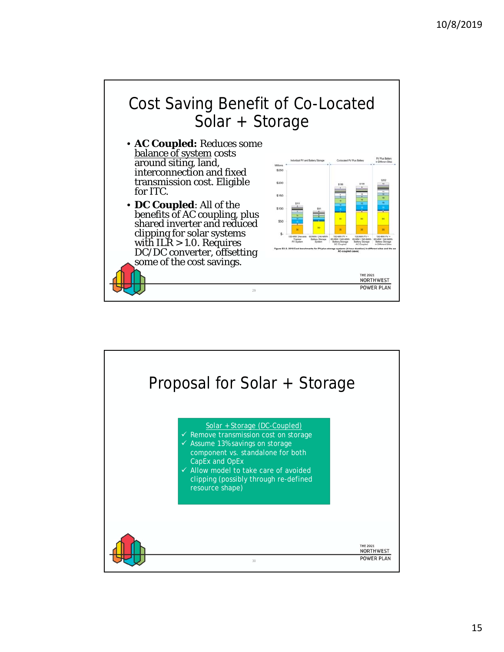